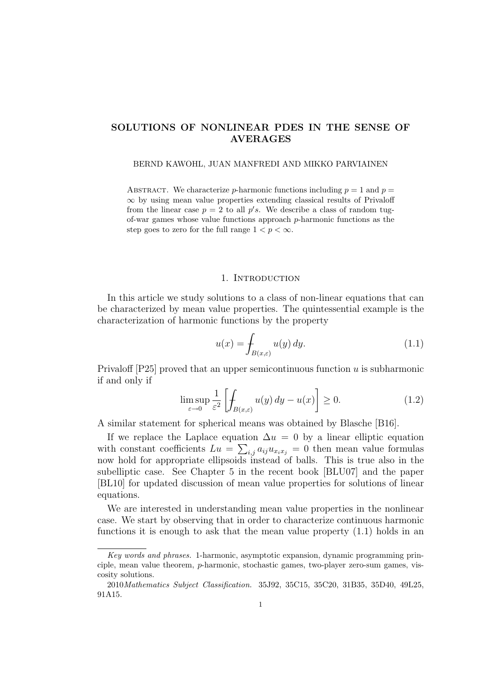# SOLUTIONS OF NONLINEAR PDES IN THE SENSE OF AVERAGES

#### BERND KAWOHL, JUAN MANFREDI AND MIKKO PARVIAINEN

ABSTRACT. We characterize p-harmonic functions including  $p = 1$  and  $p =$ ∞ by using mean value properties extending classical results of Privaloff from the linear case  $p = 2$  to all  $p's$ . We describe a class of random tugof-war games whose value functions approach p-harmonic functions as the step goes to zero for the full range  $1 < p < \infty$ .

#### 1. INTRODUCTION

In this article we study solutions to a class of non-linear equations that can be characterized by mean value properties. The quintessential example is the characterization of harmonic functions by the property

$$
u(x) = \int_{B(x,\varepsilon)} u(y) \, dy. \tag{1.1}
$$

Privaloff  $[P25]$  proved that an upper semicontinuous function u is subharmonic if and only if

$$
\limsup_{\varepsilon \to 0} \frac{1}{\varepsilon^2} \left[ \int_{B(x,\varepsilon)} u(y) \, dy - u(x) \right] \ge 0. \tag{1.2}
$$

A similar statement for spherical means was obtained by Blasche [B16].

If we replace the Laplace equation  $\Delta u = 0$  by a linear elliptic equation with constant coefficients  $Lu = \sum_{i,j} a_{ij}u_{x_ix_j} = 0$  then mean value formulas now hold for appropriate ellipsoids instead of balls. This is true also in the subelliptic case. See Chapter 5 in the recent book [BLU07] and the paper [BL10] for updated discussion of mean value properties for solutions of linear equations.

We are interested in understanding mean value properties in the nonlinear case. We start by observing that in order to characterize continuous harmonic functions it is enough to ask that the mean value property (1.1) holds in an

Key words and phrases. 1-harmonic, asymptotic expansion, dynamic programming principle, mean value theorem, p-harmonic, stochastic games, two-player zero-sum games, viscosity solutions.

<sup>2010</sup>Mathematics Subject Classification. 35J92, 35C15, 35C20, 31B35, 35D40, 49L25, 91A15.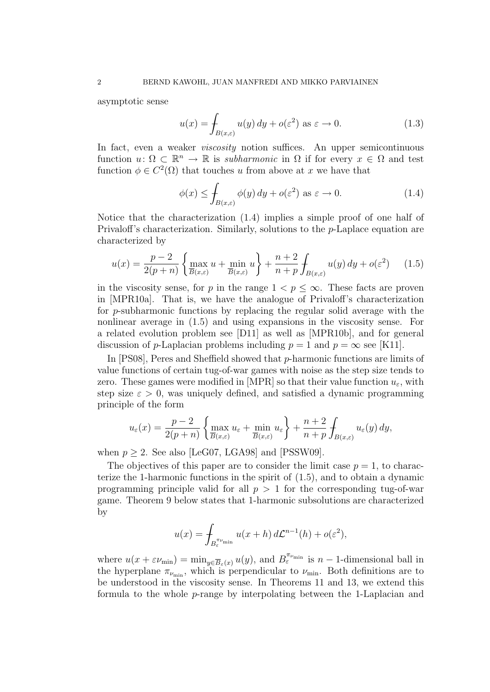asymptotic sense

$$
u(x) = \int_{B(x,\varepsilon)} u(y) \, dy + o(\varepsilon^2) \text{ as } \varepsilon \to 0. \tag{1.3}
$$

In fact, even a weaker *viscosity* notion suffices. An upper semicontinuous function  $u: \Omega \subset \mathbb{R}^n \to \mathbb{R}$  is *subharmonic* in  $\Omega$  if for every  $x \in \Omega$  and test function  $\phi \in C^2(\Omega)$  that touches u from above at x we have that

$$
\phi(x) \le \int_{B(x,\varepsilon)} \phi(y) \, dy + o(\varepsilon^2) \text{ as } \varepsilon \to 0. \tag{1.4}
$$

Notice that the characterization (1.4) implies a simple proof of one half of Privaloff's characterization. Similarly, solutions to the p-Laplace equation are characterized by

$$
u(x) = \frac{p-2}{2(p+n)} \left\{ \max_{\overline{B}(x,\varepsilon)} u + \min_{\overline{B}(x,\varepsilon)} u \right\} + \frac{n+2}{n+p} \int_{B(x,\varepsilon)} u(y) \, dy + o(\varepsilon^2) \tag{1.5}
$$

in the viscosity sense, for p in the range  $1 < p \leq \infty$ . These facts are proven in [MPR10a]. That is, we have the analogue of Privaloff's characterization for p-subharmonic functions by replacing the regular solid average with the nonlinear average in (1.5) and using expansions in the viscosity sense. For a related evolution problem see [D11] as well as [MPR10b], and for general discussion of p-Laplacian problems including  $p = 1$  and  $p = \infty$  see [K11].

In [PS08], Peres and Sheffield showed that p-harmonic functions are limits of value functions of certain tug-of-war games with noise as the step size tends to zero. These games were modified in [MPR] so that their value function  $u_{\varepsilon}$ , with step size  $\varepsilon > 0$ , was uniquely defined, and satisfied a dynamic programming principle of the form

$$
u_{\varepsilon}(x) = \frac{p-2}{2(p+n)} \left\{ \max_{\overline{B}(x,\varepsilon)} u_{\varepsilon} + \min_{\overline{B}(x,\varepsilon)} u_{\varepsilon} \right\} + \frac{n+2}{n+p} \int_{B(x,\varepsilon)} u_{\varepsilon}(y) dy,
$$

when  $p \geq 2$ . See also [LeG07, LGA98] and [PSSW09].

The objectives of this paper are to consider the limit case  $p = 1$ , to characterize the 1-harmonic functions in the spirit of (1.5), and to obtain a dynamic programming principle valid for all  $p > 1$  for the corresponding tug-of-war game. Theorem 9 below states that 1-harmonic subsolutions are characterized by

$$
u(x) = \int_{B_{\varepsilon}^{\pi_{\nu_{\min}}}} u(x+h) d\mathcal{L}^{n-1}(h) + o(\varepsilon^2),
$$

where  $u(x + \varepsilon \nu_{\min}) = \min_{y \in \overline{B}_{\varepsilon}(x)} u(y)$ , and  $B_{\varepsilon}^{\pi_{\nu_{\min}}}$  is  $n-1$ -dimensional ball in the hyperplane  $\pi_{\nu_{\min}}$ , which is perpendicular to  $\nu_{\min}$ . Both definitions are to be understood in the viscosity sense. In Theorems 11 and 13, we extend this formula to the whole p-range by interpolating between the 1-Laplacian and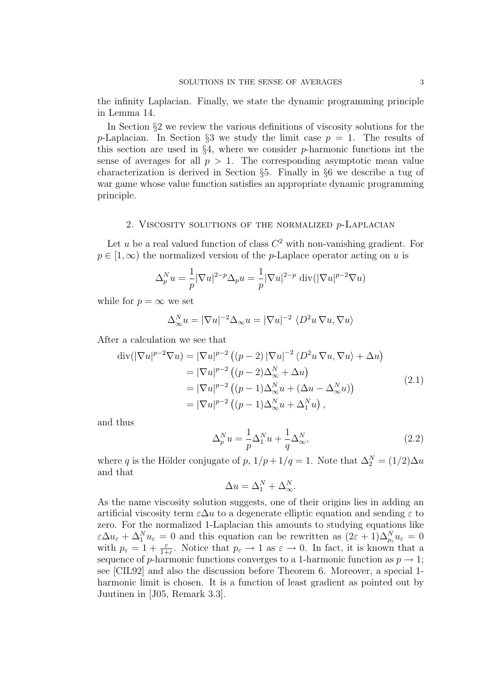the infinity Laplacian. Finally, we state the dynamic programming principle in Lemma 14.

In Section §2 we review the various definitions of viscosity solutions for the p-Laplacian. In Section §3 we study the limit case  $p = 1$ . The results of this section are used in  $\S 4$ , where we consider *p*-harmonic functions int the sense of averages for all  $p > 1$ . The corresponding asymptotic mean value characterization is derived in Section §5. Finally in §6 we describe a tug of war game whose value function satisfies an appropriate dynamic programming principle.

## 2. VISCOSITY SOLUTIONS OF THE NORMALIZED  $p$ -LAPLACIAN

Let u be a real valued function of class  $C^2$  with non-vanishing gradient. For  $p \in [1,\infty)$  the normalized version of the p-Laplace operator acting on u is

$$
\Delta_p^N u = \frac{1}{p} |\nabla u|^{2-p} \Delta_p u = \frac{1}{p} |\nabla u|^{2-p} \operatorname{div}(|\nabla u|^{p-2} \nabla u)
$$

while for  $p = \infty$  we set

$$
\Delta_{\infty}^N u = |\nabla u|^{-2} \Delta_{\infty} u = |\nabla u|^{-2} \langle D^2 u \nabla u, \nabla u \rangle
$$

After a calculation we see that

$$
\operatorname{div}(|\nabla u|^{p-2}\nabla u) = |\nabla u|^{p-2} \left( (p-2) |\nabla u|^{-2} \langle D^2 u \nabla u, \nabla u \rangle + \Delta u \right)
$$
  
\n
$$
= |\nabla u|^{p-2} \left( (p-2) \Delta_{\infty}^N + \Delta u \right)
$$
  
\n
$$
= |\nabla u|^{p-2} \left( (p-1) \Delta_{\infty}^N u + (\Delta u - \Delta_{\infty}^N u) \right)
$$
  
\n
$$
= |\nabla u|^{p-2} \left( (p-1) \Delta_{\infty}^N u + \Delta_1^N u \right),
$$
\n(2.1)

and thus

$$
\Delta_p^N u = \frac{1}{p} \Delta_1^N u + \frac{1}{q} \Delta_\infty^N,\tag{2.2}
$$

where q is the Hölder conjugate of p,  $1/p + 1/q = 1$ . Note that  $\Delta_2^N = (1/2)\Delta u$ and that

$$
\Delta u = \Delta_1^N + \Delta_\infty^N.
$$

As the name viscosity solution suggests, one of their origins lies in adding an artificial viscosity term  $\varepsilon \Delta u$  to a degenerate elliptic equation and sending  $\varepsilon$  to zero. For the normalized 1-Laplacian this amounts to studying equations like  $\varepsilon \Delta u_{\varepsilon} + \Delta_1^N u_{\varepsilon} = 0$  and this equation can be rewritten as  $(2\varepsilon + 1)\Delta_{p_{\varepsilon}}^N u_{\varepsilon} = 0$ with  $p_{\varepsilon} = 1 + \frac{\varepsilon}{1+\varepsilon}$ . Notice that  $p_{\varepsilon} \to 1$  as  $\varepsilon \to 0$ . In fact, it is known that a sequence of p-harmonic functions converges to a 1-harmonic function as  $p \to 1$ ; see [CIL92] and also the discussion before Theorem 6. Moreover, a special 1 harmonic limit is chosen. It is a function of least gradient as pointed out by Juutinen in [J05, Remark 3.3].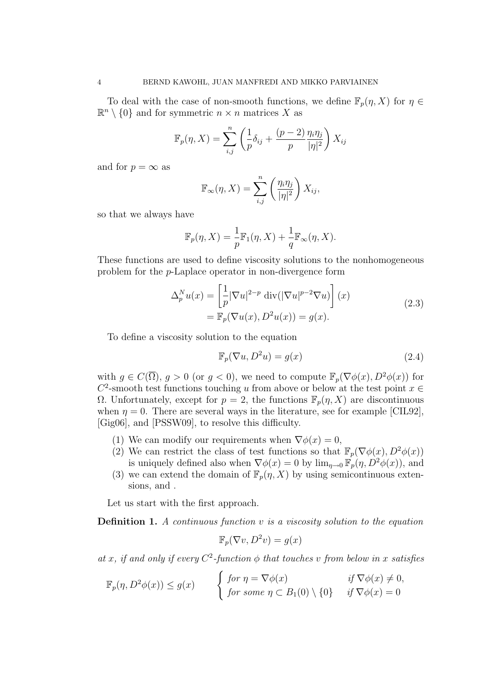To deal with the case of non-smooth functions, we define  $\mathbb{F}_p(\eta, X)$  for  $\eta \in$  $\mathbb{R}^n \setminus \{0\}$  and for symmetric  $n \times n$  matrices X as

$$
\mathbb{F}_p(\eta, X) = \sum_{i,j}^n \left( \frac{1}{p} \delta_{ij} + \frac{(p-2)}{p} \frac{\eta_i \eta_j}{|\eta|^2} \right) X_{ij}
$$

and for  $p = \infty$  as

$$
\mathbb{F}_{\infty}(\eta, X) = \sum_{i,j}^{n} \left( \frac{\eta_i \eta_j}{|\eta|^2} \right) X_{ij},
$$

so that we always have

$$
\mathbb{F}_p(\eta, X) = \frac{1}{p} \mathbb{F}_1(\eta, X) + \frac{1}{q} \mathbb{F}_{\infty}(\eta, X).
$$

These functions are used to define viscosity solutions to the nonhomogeneous problem for the p-Laplace operator in non-divergence form

$$
\Delta_p^N u(x) = \left[ \frac{1}{p} |\nabla u|^{2-p} \operatorname{div}(|\nabla u|^{p-2} \nabla u) \right](x)
$$
  
=  $\mathbb{F}_p(\nabla u(x), D^2 u(x)) = g(x).$  (2.3)

To define a viscosity solution to the equation

$$
\mathbb{F}_p(\nabla u, D^2 u) = g(x) \tag{2.4}
$$

with  $q \in C(\overline{\Omega})$ ,  $q > 0$  (or  $q < 0$ ), we need to compute  $\mathbb{F}_p(\nabla \phi(x), D^2 \phi(x))$  for  $C^2$ -smooth test functions touching u from above or below at the test point  $x \in$ Ω. Unfortunately, except for  $p = 2$ , the functions  $\mathbb{F}_p(\eta, X)$  are discontinuous when  $\eta = 0$ . There are several ways in the literature, see for example [CIL92], [Gig06], and [PSSW09], to resolve this difficulty.

- (1) We can modify our requirements when  $\nabla \phi(x) = 0$ ,
- (2) We can restrict the class of test functions so that  $\mathbb{F}_p(\nabla\phi(x), D^2\phi(x))$ is uniquely defined also when  $\nabla \phi(x) = 0$  by  $\lim_{\eta \to 0} \mathbb{F}_p(\eta, D^2 \phi(x))$ , and
- (3) we can extend the domain of  $\mathbb{F}_p(\eta, X)$  by using semicontinuous extensions, and .

Let us start with the first approach.

**Definition 1.** A continuous function  $v$  is a viscosity solution to the equation

$$
\mathbb{F}_p(\nabla v, D^2v) = g(x)
$$

at x, if and only if every  $C^2$ -function  $\phi$  that touches v from below in x satisfies

$$
\mathbb{F}_p(\eta, D^2 \phi(x)) \le g(x) \qquad \begin{cases} \text{ for } \eta = \nabla \phi(x) & \text{ if } \nabla \phi(x) \neq 0, \\ \text{ for some } \eta \subset B_1(0) \setminus \{0\} & \text{ if } \nabla \phi(x) = 0 \end{cases}
$$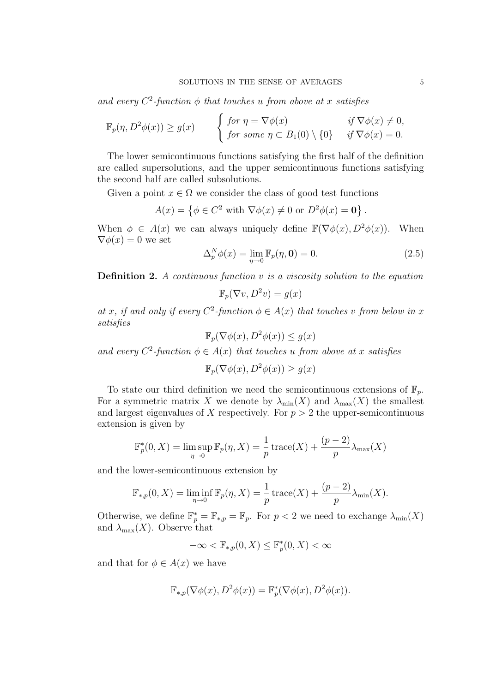and every  $C^2$ -function  $\phi$  that touches u from above at x satisfies

$$
\mathbb{F}_p(\eta, D^2 \phi(x)) \ge g(x) \qquad \begin{cases} \text{for } \eta = \nabla \phi(x) & \text{if } \nabla \phi(x) \ne 0, \\ \text{for some } \eta \subset B_1(0) \setminus \{0\} & \text{if } \nabla \phi(x) = 0. \end{cases}
$$

The lower semicontinuous functions satisfying the first half of the definition are called supersolutions, and the upper semicontinuous functions satisfying the second half are called subsolutions.

Given a point  $x \in \Omega$  we consider the class of good test functions

$$
A(x) = \left\{ \phi \in C^2 \text{ with } \nabla \phi(x) \neq 0 \text{ or } D^2 \phi(x) = \mathbf{0} \right\}.
$$

When  $\phi \in A(x)$  we can always uniquely define  $\mathbb{F}(\nabla \phi(x), D^2 \phi(x))$ . When  $\nabla \phi(x) = 0$  we set

$$
\Delta_p^N \phi(x) = \lim_{\eta \to 0} \mathbb{F}_p(\eta, \mathbf{0}) = 0.
$$
 (2.5)

**Definition 2.** A continuous function  $v$  is a viscosity solution to the equation

$$
\mathbb{F}_p(\nabla v, D^2v) = g(x)
$$

at x, if and only if every  $C^2$ -function  $\phi \in A(x)$  that touches v from below in x satisfies

$$
\mathbb{F}_p(\nabla\phi(x), D^2\phi(x)) \le g(x)
$$

and every  $C^2$ -function  $\phi \in A(x)$  that touches u from above at x satisfies

$$
\mathbb{F}_p(\nabla\phi(x), D^2\phi(x)) \ge g(x)
$$

To state our third definition we need the semicontinuous extensions of  $\mathbb{F}_p$ . For a symmetric matrix X we denote by  $\lambda_{\min}(X)$  and  $\lambda_{\max}(X)$  the smallest and largest eigenvalues of X respectively. For  $p > 2$  the upper-semicontinuous extension is given by

$$
\mathbb{F}_p^*(0, X) = \limsup_{\eta \to 0} \mathbb{F}_p(\eta, X) = \frac{1}{p} \operatorname{trace}(X) + \frac{(p-2)}{p} \lambda_{\max}(X)
$$

and the lower-semicontinuous extension by

$$
\mathbb{F}_{*,p}(0,X) = \liminf_{\eta \to 0} \mathbb{F}_p(\eta,X) = \frac{1}{p} \operatorname{trace}(X) + \frac{(p-2)}{p} \lambda_{\min}(X).
$$

Otherwise, we define  $\mathbb{F}_p^* = \mathbb{F}_{*,p} = \mathbb{F}_p$ . For  $p < 2$  we need to exchange  $\lambda_{\min}(X)$ and  $\lambda_{\max}(X)$ . Observe that

$$
-\infty < \mathbb{F}_{*,p}(0,X) \le \mathbb{F}_p^*(0,X) < \infty
$$

and that for  $\phi \in A(x)$  we have

$$
\mathbb{F}_{*,p}(\nabla\phi(x), D^2\phi(x)) = \mathbb{F}_p^*(\nabla\phi(x), D^2\phi(x)).
$$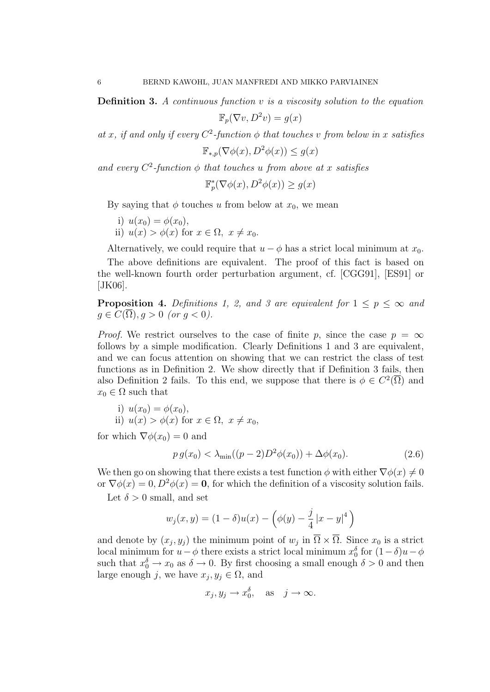**Definition 3.** A continuous function  $v$  is a viscosity solution to the equation

$$
\mathbb{F}_p(\nabla v, D^2v) = g(x)
$$

at x, if and only if every  $C^2$ -function  $\phi$  that touches v from below in x satisfies

$$
\mathbb{F}_{*,p}(\nabla\phi(x), D^2\phi(x)) \le g(x)
$$

and every  $C^2$ -function  $\phi$  that touches u from above at x satisfies

$$
\mathbb{F}_p^*(\nabla \phi(x), D^2 \phi(x)) \ge g(x)
$$

By saying that  $\phi$  touches u from below at  $x_0$ , we mean

- i)  $u(x_0) = \phi(x_0)$ ,
- ii)  $u(x) > \phi(x)$  for  $x \in \Omega$ ,  $x \neq x_0$ .

Alternatively, we could require that  $u - \phi$  has a strict local minimum at  $x_0$ .

The above definitions are equivalent. The proof of this fact is based on the well-known fourth order perturbation argument, cf. [CGG91], [ES91] or [JK06].

**Proposition 4.** Definitions 1, 2, and 3 are equivalent for  $1 \leq p \leq \infty$  and  $g \in C(\overline{\Omega}), g > 0$  (or  $g < 0$ ).

*Proof.* We restrict ourselves to the case of finite p, since the case  $p = \infty$ follows by a simple modification. Clearly Definitions 1 and 3 are equivalent, and we can focus attention on showing that we can restrict the class of test functions as in Definition 2. We show directly that if Definition 3 fails, then also Definition 2 fails. To this end, we suppose that there is  $\phi \in C^2(\overline{\Omega})$  and  $x_0 \in \Omega$  such that

i)  $u(x_0) = \phi(x_0)$ , ii)  $u(x) > \phi(x)$  for  $x \in \Omega$ ,  $x \neq x_0$ ,

for which  $\nabla \phi(x_0) = 0$  and

$$
p g(x_0) < \lambda_{\min}((p-2)D^2 \phi(x_0)) + \Delta \phi(x_0).
$$
 (2.6)

We then go on showing that there exists a test function  $\phi$  with either  $\nabla \phi(x) \neq 0$ or  $\nabla \phi(x) = 0$ ,  $D^2 \phi(x) = 0$ , for which the definition of a viscosity solution fails.

Let  $\delta > 0$  small, and set

$$
w_j(x, y) = (1 - \delta)u(x) - \left(\phi(y) - \frac{j}{4}|x - y|^4\right)
$$

and denote by  $(x_j, y_j)$  the minimum point of  $w_j$  in  $\Omega \times \Omega$ . Since  $x_0$  is a strict local minimum for  $u - \phi$  there exists a strict local minimum  $x_0^{\delta}$  for  $(1 - \delta)u - \phi$ such that  $x_0^{\delta} \to x_0$  as  $\delta \to 0$ . By first choosing a small enough  $\delta > 0$  and then large enough j, we have  $x_j, y_j \in \Omega$ , and

$$
x_j, y_j \rightarrow x_0^{\delta}, \text{ as } j \rightarrow \infty.
$$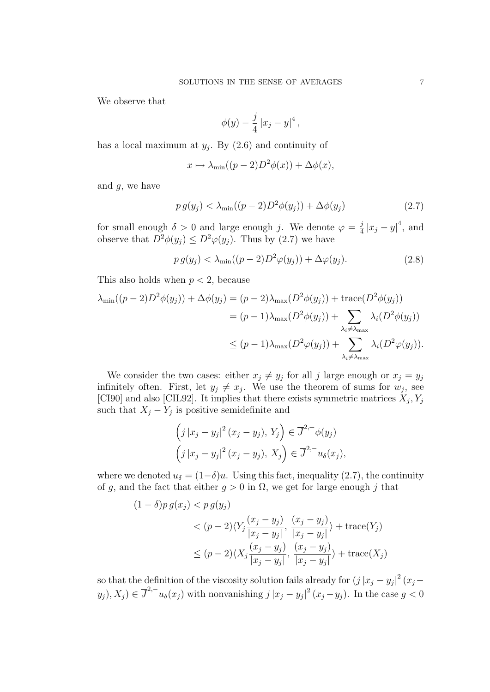We observe that

$$
\phi(y) - \frac{j}{4} |x_j - y|^4,
$$

has a local maximum at  $y_j$ . By  $(2.6)$  and continuity of

$$
x \mapsto \lambda_{\min}((p-2)D^2\phi(x)) + \Delta\phi(x),
$$

and  $g$ , we have

$$
p g(y_j) < \lambda_{\min}((p-2)D^2 \phi(y_j)) + \Delta \phi(y_j) \tag{2.7}
$$

for small enough  $\delta > 0$  and large enough j. We denote  $\varphi = \frac{j}{4}$  $\frac{j}{4} |x_j - y|^4$ , and observe that  $D^2\phi(y_i) \leq D^2\phi(y_i)$ . Thus by (2.7) we have

$$
p g(y_j) < \lambda_{\min}((p-2)D^2 \varphi(y_j)) + \Delta \varphi(y_j). \tag{2.8}
$$

This also holds when  $p < 2$ , because

$$
\lambda_{\min}((p-2)D^2\phi(y_j)) + \Delta\phi(y_j) = (p-2)\lambda_{\max}(D^2\phi(y_j)) + \text{trace}(D^2\phi(y_j))
$$
  

$$
= (p-1)\lambda_{\max}(D^2\phi(y_j)) + \sum_{\lambda_i \neq \lambda_{\max}} \lambda_i(D^2\phi(y_j))
$$
  

$$
\leq (p-1)\lambda_{\max}(D^2\phi(y_j)) + \sum_{\lambda_i \neq \lambda_{\max}} \lambda_i(D^2\phi(y_j)).
$$

We consider the two cases: either  $x_j \neq y_j$  for all j large enough or  $x_j = y_j$ infinitely often. First, let  $y_j \neq x_j$ . We use the theorem of sums for  $w_j$ , see [CI90] and also [CIL92]. It implies that there exists symmetric matrices  $X_j, Y_j$ such that  $X_j - Y_j$  is positive semidefinite and

$$
\left(j|x_j - y_j|^2 (x_j - y_j), Y_j\right) \in \overline{J}^{2,+} \phi(y_j)
$$

$$
\left(j|x_j - y_j|^2 (x_j - y_j), X_j\right) \in \overline{J}^{2,-} u_{\delta}(x_j),
$$

where we denoted  $u_{\delta} = (1-\delta)u$ . Using this fact, inequality (2.7), the continuity of g, and the fact that either  $g > 0$  in  $\Omega$ , we get for large enough j that

$$
(1 - \delta)p g(x_j) < p g(y_j) \\
&< (p - 2)\langle Y_j \frac{(x_j - y_j)}{|x_j - y_j|}, \frac{(x_j - y_j)}{|x_j - y_j|}\rangle + \text{trace}(Y_j) \\
&\le (p - 2)\langle X_j \frac{(x_j - y_j)}{|x_j - y_j|}, \frac{(x_j - y_j)}{|x_j - y_j|}\rangle + \text{trace}(X_j)
$$

so that the definition of the viscosity solution fails already for  $(j |x_j - y_j|^2 (x_j (y_j), X_j) \in \overline{J}^{2,-} u_\delta(x_j)$  with nonvanishing  $j |x_j - y_j|^2 (x_j - y_j)$ . In the case  $g < 0$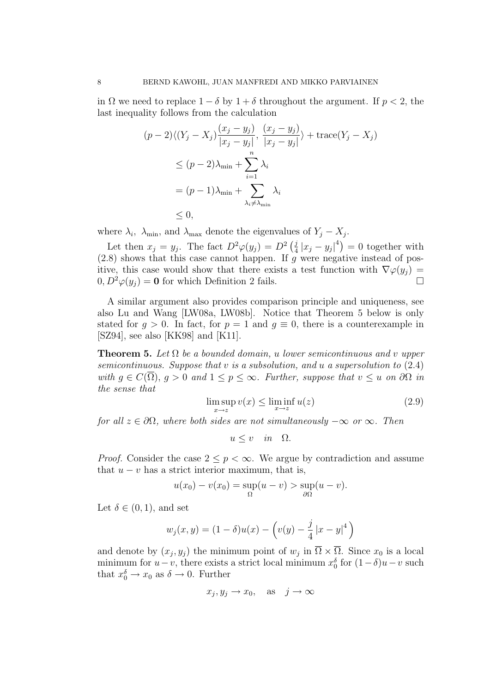in  $\Omega$  we need to replace  $1 - \delta$  by  $1 + \delta$  throughout the argument. If  $p < 2$ , the last inequality follows from the calculation

$$
(p-2)\langle (Y_j - X_j) \frac{(x_j - y_j)}{|x_j - y_j|}, \frac{(x_j - y_j)}{|x_j - y_j|} \rangle + \text{trace}(Y_j - X_j)
$$
  
\n
$$
\leq (p-2)\lambda_{\min} + \sum_{i=1}^n \lambda_i
$$
  
\n
$$
= (p-1)\lambda_{\min} + \sum_{\lambda_i \neq \lambda_{\min}} \lambda_i
$$
  
\n
$$
\leq 0,
$$

where  $\lambda_i$ ,  $\lambda_{\min}$ , and  $\lambda_{\max}$  denote the eigenvalues of  $Y_j - X_j$ .

Let then  $x_j = y_j$ . The fact  $D^2\varphi(y_j) = D^2\left(\frac{j}{4}\right)$  $\frac{j}{4}|x_j - y_j|^4$  = 0 together with  $(2.8)$  shows that this case cannot happen. If g were negative instead of positive, this case would show that there exists a test function with  $\nabla \varphi(y_i) =$  $0, D^2\varphi(y_j) = \mathbf{0}$  for which Definition 2 fails.

A similar argument also provides comparison principle and uniqueness, see also Lu and Wang [LW08a, LW08b]. Notice that Theorem 5 below is only stated for  $q > 0$ . In fact, for  $p = 1$  and  $q \equiv 0$ , there is a counterexample in [SZ94], see also [KK98] and [K11].

**Theorem 5.** Let  $\Omega$  be a bounded domain, u lower semicontinuous and v upper semicontinuous. Suppose that  $v$  is a subsolution, and  $u$  a supersolution to  $(2.4)$ with  $q \in C(\overline{\Omega})$ ,  $q > 0$  and  $1 \leq p \leq \infty$ . Further, suppose that  $v \leq u$  on  $\partial \Omega$  in the sense that

$$
\limsup_{x \to z} v(x) \le \liminf_{x \to z} u(z) \tag{2.9}
$$

for all  $z \in \partial \Omega$ , where both sides are not simultaneously  $-\infty$  or  $\infty$ . Then

$$
u \le v \quad in \quad \Omega.
$$

*Proof.* Consider the case  $2 \leq p < \infty$ . We argue by contradiction and assume that  $u - v$  has a strict interior maximum, that is,

$$
u(x_0) - v(x_0) = \sup_{\Omega}(u - v) > \sup_{\partial\Omega}(u - v).
$$

Let  $\delta \in (0,1)$ , and set

$$
w_j(x, y) = (1 - \delta)u(x) - \left(v(y) - \frac{j}{4}|x - y|^4\right)
$$

and denote by  $(x_j, y_j)$  the minimum point of  $w_j$  in  $\overline{\Omega} \times \overline{\Omega}$ . Since  $x_0$  is a local minimum for  $u - v$ , there exists a strict local minimum  $x_0^{\delta}$  for  $(1 - \delta)u - v$  such that  $x_0^{\delta} \to x_0$  as  $\delta \to 0$ . Further

$$
x_j, y_j \to x_0
$$
, as  $j \to \infty$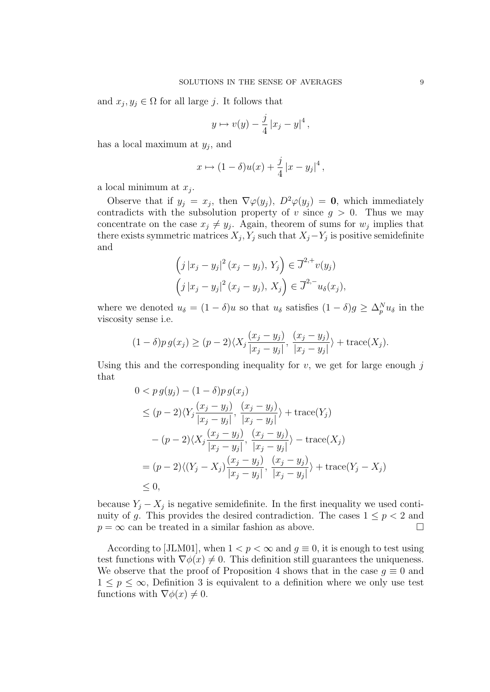and  $x_j, y_j \in \Omega$  for all large j. It follows that

$$
y \mapsto v(y) - \frac{j}{4} |x_j - y|^4,
$$

has a local maximum at  $y_j$ , and

$$
x \mapsto (1 - \delta)u(x) + \frac{j}{4}|x - y_j|^4,
$$

a local minimum at  $x_j$ .

Observe that if  $y_j = x_j$ , then  $\nabla \varphi(y_j)$ ,  $D^2 \varphi(y_j) = 0$ , which immediately contradicts with the subsolution property of v since  $g > 0$ . Thus we may concentrate on the case  $x_j \neq y_j$ . Again, theorem of sums for  $w_j$  implies that there exists symmetric matrices  $X_j, Y_j$  such that  $X_j - Y_j$  is positive semidefinite and

$$
\left(j\left|x_j-y_j\right|^2(x_j-y_j), Y_j\right) \in \overline{J}^{2,+}v(y_j)
$$

$$
\left(j\left|x_j-y_j\right|^2(x_j-y_j), X_j\right) \in \overline{J}^{2,-}u_{\delta}(x_j),
$$

where we denoted  $u_{\delta} = (1 - \delta)u$  so that  $u_{\delta}$  satisfies  $(1 - \delta)g \geq \Delta_p^N u_{\delta}$  in the viscosity sense i.e.

$$
(1 - \delta)p g(x_j) \ge (p - 2) \langle X_j \frac{(x_j - y_j)}{|x_j - y_j|}, \frac{(x_j - y_j)}{|x_j - y_j|} \rangle + \text{trace}(X_j).
$$

Using this and the corresponding inequality for  $v$ , we get for large enough  $j$ that

$$
0 < p g(y_j) - (1 - \delta) p g(x_j)
$$
\n
$$
\leq (p - 2) \langle Y_j \frac{(x_j - y_j)}{|x_j - y_j|}, \frac{(x_j - y_j)}{|x_j - y_j|} \rangle + \text{trace}(Y_j)
$$
\n
$$
- (p - 2) \langle X_j \frac{(x_j - y_j)}{|x_j - y_j|}, \frac{(x_j - y_j)}{|x_j - y_j|} \rangle - \text{trace}(X_j)
$$
\n
$$
= (p - 2) \langle (Y_j - X_j) \frac{(x_j - y_j)}{|x_j - y_j|}, \frac{(x_j - y_j)}{|x_j - y_j|} \rangle + \text{trace}(Y_j - X_j)
$$
\n
$$
\leq 0,
$$

because  $Y_j - X_j$  is negative semidefinite. In the first inequality we used continuity of g. This provides the desired contradiction. The cases  $1 \leq p < 2$  and  $p = \infty$  can be treated in a similar fashion as above.

According to [JLM01], when  $1 < p < \infty$  and  $q \equiv 0$ , it is enough to test using test functions with  $\nabla \phi(x) \neq 0$ . This definition still guarantees the uniqueness. We observe that the proof of Proposition 4 shows that in the case  $q \equiv 0$  and  $1 \leq p \leq \infty$ , Definition 3 is equivalent to a definition where we only use test functions with  $\nabla \phi(x) \neq 0$ .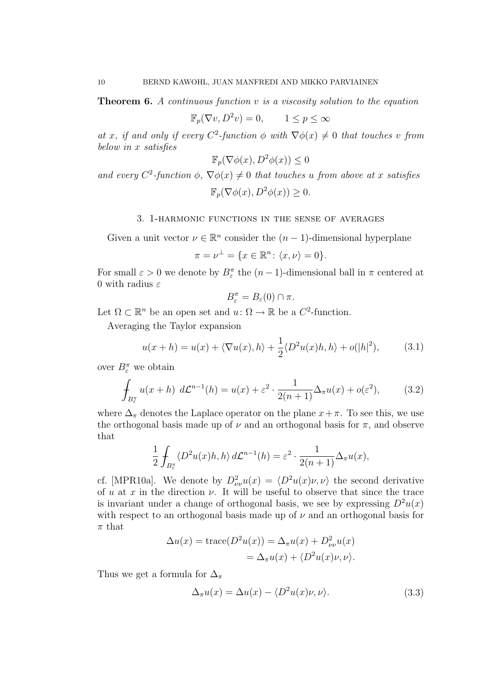**Theorem 6.** A continuous function  $v$  is a viscosity solution to the equation

$$
\mathbb{F}_p(\nabla v, D^2 v) = 0, \qquad 1 \le p \le \infty
$$

at x, if and only if every  $C^2$ -function  $\phi$  with  $\nabla \phi(x) \neq 0$  that touches v from below in x satisfies

$$
\mathbb{F}_p(\nabla\phi(x), D^2\phi(x)) \le 0
$$

and every  $C^2$ -function  $\phi$ ,  $\nabla \phi(x) \neq 0$  that touches u from above at x satisfies  $\mathbb{F}_n(\nabla \phi(x), D^2 \phi(x)) \geq 0.$ 

3. 1-harmonic functions in the sense of averages

Given a unit vector  $\nu \in \mathbb{R}^n$  consider the  $(n-1)$ -dimensional hyperplane

$$
\pi = \nu^{\perp} = \{x \in \mathbb{R}^n \colon \langle x, \nu \rangle = 0\}.
$$

For small  $\varepsilon > 0$  we denote by  $B_{\varepsilon}^{\pi}$  the  $(n-1)$ -dimensional ball in  $\pi$  centered at 0 with radius  $\varepsilon$ 

$$
B_{\varepsilon}^{\pi} = B_{\varepsilon}(0) \cap \pi.
$$

Let  $\Omega \subset \mathbb{R}^n$  be an open set and  $u: \Omega \to \mathbb{R}$  be a  $C^2$ -function.

Averaging the Taylor expansion

$$
u(x+h) = u(x) + \langle \nabla u(x), h \rangle + \frac{1}{2} \langle D^2 u(x)h, h \rangle + o(|h|^2), \tag{3.1}
$$

over  $B_{\varepsilon}^{\pi}$  we obtain

$$
\oint_{B_{\varepsilon}^{\pi}} u(x+h) d\mathcal{L}^{n-1}(h) = u(x) + \varepsilon^2 \cdot \frac{1}{2(n+1)} \Delta_{\pi} u(x) + o(\varepsilon^2), \tag{3.2}
$$

where  $\Delta_{\pi}$  denotes the Laplace operator on the plane  $x+\pi$ . To see this, we use the orthogonal basis made up of  $\nu$  and an orthogonal basis for  $\pi$ , and observe that

$$
\frac{1}{2} \int_{B_{\varepsilon}^{\pi}} \langle D^2 u(x) h, h \rangle d\mathcal{L}^{n-1}(h) = \varepsilon^2 \cdot \frac{1}{2(n+1)} \Delta_{\pi} u(x),
$$

cf. [MPR10a]. We denote by  $D^2_{\nu}u(x) = \langle D^2u(x)\nu, \nu \rangle$  the second derivative of u at x in the direction  $\nu$ . It will be useful to observe that since the trace is invariant under a change of orthogonal basis, we see by expressing  $D^2u(x)$ with respect to an orthogonal basis made up of  $\nu$  and an orthogonal basis for  $\pi$  that

$$
\Delta u(x) = \text{trace}(D^2 u(x)) = \Delta_{\pi} u(x) + D^2_{\nu\nu} u(x)
$$

$$
= \Delta_{\pi} u(x) + \langle D^2 u(x) \nu, \nu \rangle.
$$

Thus we get a formula for  $\Delta_{\pi}$ 

$$
\Delta_{\pi}u(x) = \Delta u(x) - \langle D^2u(x)\nu, \nu \rangle.
$$
 (3.3)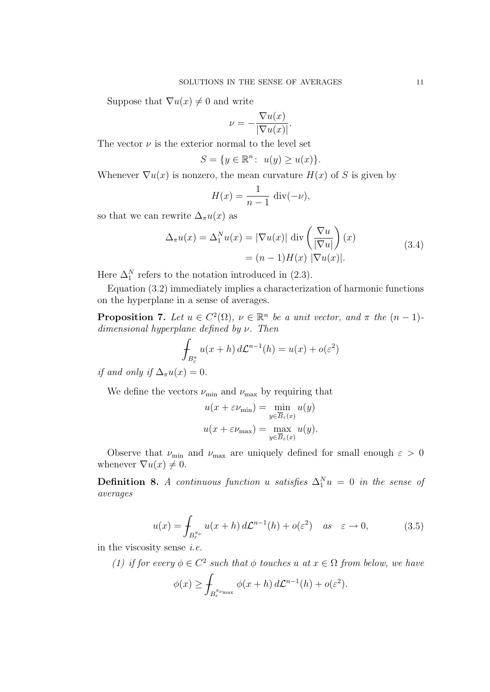Suppose that  $\nabla u(x) \neq 0$  and write

$$
\nu = -\frac{\nabla u(x)}{|\nabla u(x)|}.
$$

The vector  $\nu$  is the exterior normal to the level set

$$
S = \{ y \in \mathbb{R}^n \colon u(y) \ge u(x) \}.
$$

Whenever  $\nabla u(x)$  is nonzero, the mean curvature  $H(x)$  of S is given by

$$
H(x) = \frac{1}{n-1} \operatorname{div}(-\nu),
$$

so that we can rewrite  $\Delta_{\pi}u(x)$  as

$$
\Delta_{\pi} u(x) = \Delta_1^N u(x) = |\nabla u(x)| \operatorname{div} \left( \frac{\nabla u}{|\nabla u|} \right)(x)
$$
  
=  $(n - 1)H(x) |\nabla u(x)|.$  (3.4)

Here  $\Delta_1^N$  refers to the notation introduced in (2.3).

Equation (3.2) immediately implies a characterization of harmonic functions on the hyperplane in a sense of averages.

**Proposition 7.** Let  $u \in C^2(\Omega)$ ,  $v \in \mathbb{R}^n$  be a unit vector, and  $\pi$  the  $(n-1)$ dimensional hyperplane defined by  $\nu$ . Then

$$
\int_{B_{\varepsilon}^{\pi}} u(x+h) d\mathcal{L}^{n-1}(h) = u(x) + o(\varepsilon^2)
$$

if and only if  $\Delta_{\pi}u(x)=0$ .

We define the vectors  $\nu_{\min}$  and  $\nu_{\max}$  by requiring that

$$
u(x + \varepsilon \nu_{\min}) = \min_{y \in \overline{B}_{\varepsilon}(x)} u(y)
$$

$$
u(x + \varepsilon \nu_{\max}) = \max_{y \in \overline{B}_{\varepsilon}(x)} u(y).
$$

Observe that  $\nu_{\text{min}}$  and  $\nu_{\text{max}}$  are uniquely defined for small enough  $\varepsilon > 0$ whenever  $\nabla u(x) \neq 0$ .

**Definition 8.** A continuous function u satisfies  $\Delta_1^N u = 0$  in the sense of averages

$$
u(x) = \int_{B_{\varepsilon}^{\pi\nu}} u(x+h) d\mathcal{L}^{n-1}(h) + o(\varepsilon^2) \quad as \quad \varepsilon \to 0,
$$
 (3.5)

in the viscosity sense i.e.

(1) if for every  $\phi \in C^2$  such that  $\phi$  touches u at  $x \in \Omega$  from below, we have

$$
\phi(x) \ge \int_{B_{\varepsilon}^{\pi_{\nu_{\max}}}} \phi(x+h) d\mathcal{L}^{n-1}(h) + o(\varepsilon^2).
$$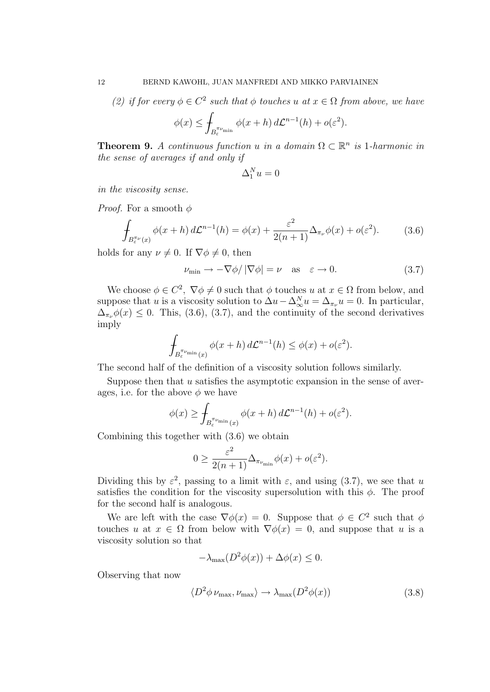(2) if for every  $\phi \in C^2$  such that  $\phi$  touches u at  $x \in \Omega$  from above, we have

$$
\phi(x) \leq \int_{B_{\varepsilon}^{\pi_{\nu_{\min}}}} \phi(x+h) d\mathcal{L}^{n-1}(h) + o(\varepsilon^2).
$$

**Theorem 9.** A continuous function u in a domain  $\Omega \subset \mathbb{R}^n$  is 1-harmonic in the sense of averages if and only if

$$
\Delta_1^N u=0
$$

in the viscosity sense.

*Proof.* For a smooth  $\phi$ 

$$
\int_{B_{\varepsilon}^{\pi_{\nu}}(x)} \phi(x+h) d\mathcal{L}^{n-1}(h) = \phi(x) + \frac{\varepsilon^2}{2(n+1)} \Delta_{\pi_{\nu}} \phi(x) + o(\varepsilon^2). \tag{3.6}
$$

holds for any  $\nu \neq 0$ . If  $\nabla \phi \neq 0$ , then

$$
\nu_{\min} \to -\nabla \phi / |\nabla \phi| = \nu \quad \text{as} \quad \varepsilon \to 0. \tag{3.7}
$$

We choose  $\phi \in C^2$ ,  $\nabla \phi \neq 0$  such that  $\phi$  touches u at  $x \in \Omega$  from below, and suppose that u is a viscosity solution to  $\Delta u - \Delta_{\infty}^N u = \Delta_{\pi_{\nu}} u = 0$ . In particular,  $\Delta_{\pi_{\nu}} \phi(x) \leq 0$ . This, (3.6), (3.7), and the continuity of the second derivatives imply

$$
\int_{B_{\varepsilon}^{\pi_{\nu_{\min}}}(x)} \phi(x+h) d\mathcal{L}^{n-1}(h) \leq \phi(x) + o(\varepsilon^2).
$$

The second half of the definition of a viscosity solution follows similarly.

Suppose then that  $u$  satisfies the asymptotic expansion in the sense of averages, i.e. for the above  $\phi$  we have

$$
\phi(x) \ge \int_{B_{\varepsilon}^{\pi_{\nu_{\min}}}(x)} \phi(x+h) d\mathcal{L}^{n-1}(h) + o(\varepsilon^2).
$$

Combining this together with (3.6) we obtain

$$
0 \ge \frac{\varepsilon^2}{2(n+1)} \Delta_{\pi_{\nu_{\min}}} \phi(x) + o(\varepsilon^2).
$$

Dividing this by  $\varepsilon^2$ , passing to a limit with  $\varepsilon$ , and using (3.7), we see that u satisfies the condition for the viscosity supersolution with this  $\phi$ . The proof for the second half is analogous.

We are left with the case  $\nabla \phi(x) = 0$ . Suppose that  $\phi \in C^2$  such that  $\phi$ touches u at  $x \in \Omega$  from below with  $\nabla \phi(x) = 0$ , and suppose that u is a viscosity solution so that

$$
-\lambda_{\max}(D^2\phi(x)) + \Delta\phi(x) \le 0.
$$

Observing that now

$$
\langle D^2 \phi \nu_{\text{max}}, \nu_{\text{max}} \rangle \to \lambda_{\text{max}}(D^2 \phi(x)) \tag{3.8}
$$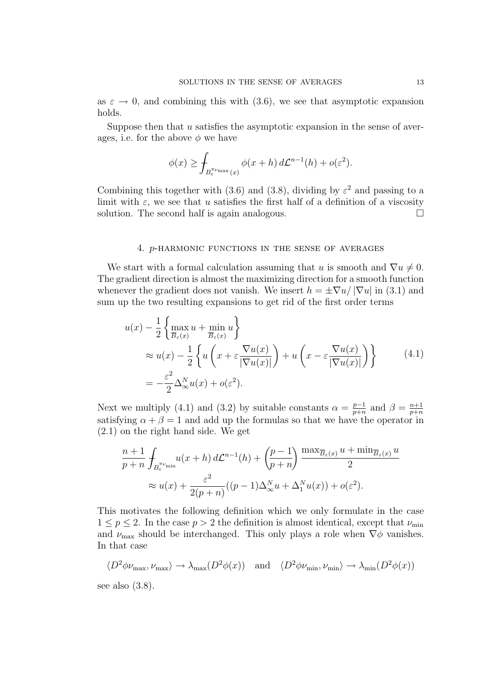as  $\varepsilon \to 0$ , and combining this with (3.6), we see that asymptotic expansion holds.

Suppose then that  $u$  satisfies the asymptotic expansion in the sense of averages, i.e. for the above  $\phi$  we have

$$
\phi(x) \ge \int_{B_{\varepsilon}^{\pi_{\nu_{\max}}}(x)} \phi(x+h) d\mathcal{L}^{n-1}(h) + o(\varepsilon^2).
$$

Combining this together with (3.6) and (3.8), dividing by  $\varepsilon^2$  and passing to a limit with  $\varepsilon$ , we see that u satisfies the first half of a definition of a viscosity solution. The second half is again analogous.  $\Box$ 

#### 4. p-harmonic functions in the sense of averages

We start with a formal calculation assuming that u is smooth and  $\nabla u \neq 0$ . The gradient direction is almost the maximizing direction for a smooth function whenever the gradient does not vanish. We insert  $h = \pm \nabla u / |\nabla u|$  in (3.1) and sum up the two resulting expansions to get rid of the first order terms

$$
u(x) - \frac{1}{2} \left\{ \max_{\overline{B}_{\varepsilon}(x)} u + \min_{\overline{B}_{\varepsilon}(x)} u \right\}
$$
  
\n
$$
\approx u(x) - \frac{1}{2} \left\{ u \left( x + \varepsilon \frac{\nabla u(x)}{|\nabla u(x)|} \right) + u \left( x - \varepsilon \frac{\nabla u(x)}{|\nabla u(x)|} \right) \right\}
$$
(4.1)  
\n
$$
= -\frac{\varepsilon^2}{2} \Delta_{\infty}^N u(x) + o(\varepsilon^2).
$$

Next we multiply (4.1) and (3.2) by suitable constants  $\alpha = \frac{p-1}{n+n}$  $\frac{p-1}{p+n}$  and  $\beta = \frac{n+1}{p+n}$  $p+n$ satisfying  $\alpha + \beta = 1$  and add up the formulas so that we have the operator in (2.1) on the right hand side. We get

$$
\frac{n+1}{p+n} \int_{B_{\varepsilon}^{\pi\nu_{\min}}} u(x+h) d\mathcal{L}^{n-1}(h) + \left(\frac{p-1}{p+n}\right) \frac{\max_{\overline{B}_{\varepsilon}(x)} u + \min_{\overline{B}_{\varepsilon}(x)} u}{2}
$$

$$
\approx u(x) + \frac{\varepsilon^2}{2(p+n)} ((p-1)\Delta_{\infty}^N u + \Delta_1^N u(x)) + o(\varepsilon^2).
$$

This motivates the following definition which we only formulate in the case  $1 \leq p \leq 2$ . In the case  $p > 2$  the definition is almost identical, except that  $\nu_{\min}$ and  $\nu_{\text{max}}$  should be interchanged. This only plays a role when  $\nabla \phi$  vanishes. In that case

$$
\langle D^2 \phi \nu_{\text{max}}, \nu_{\text{max}} \rangle \to \lambda_{\text{max}}(D^2 \phi(x)) \quad \text{and} \quad \langle D^2 \phi \nu_{\text{min}}, \nu_{\text{min}} \rangle \to \lambda_{\text{min}}(D^2 \phi(x))
$$

see also (3.8).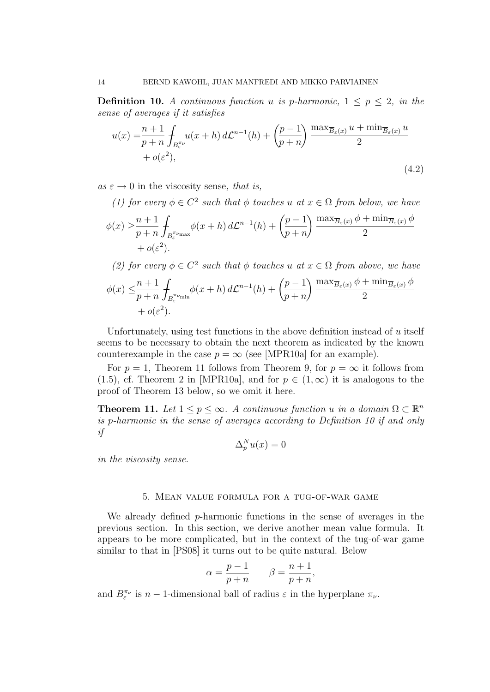**Definition 10.** A continuous function u is p-harmonic,  $1 \leq p \leq 2$ , in the sense of averages if it satisfies

$$
u(x) = \frac{n+1}{p+n} \int_{B^{\pi\nu}_{\epsilon}} u(x+h) d\mathcal{L}^{n-1}(h) + \left(\frac{p-1}{p+n}\right) \frac{\max_{\overline{B}_{\epsilon}(x)} u + \min_{\overline{B}_{\epsilon}(x)} u}{2} + o(\varepsilon^2),
$$
\n(4.2)

 $as \varepsilon \to 0$  in the viscosity sense, that is,

(1) for every  $\phi \in C^2$  such that  $\phi$  touches u at  $x \in \Omega$  from below, we have

$$
\phi(x) \geq \frac{n+1}{p+n} \int_{B_{\varepsilon}^{\pi_{\nu_{\max}}}} \phi(x+h) d\mathcal{L}^{n-1}(h) + \left(\frac{p-1}{p+n}\right) \frac{\max_{\overline{B}_{\varepsilon}(x)} \phi + \min_{\overline{B}_{\varepsilon}(x)} \phi}{2} + o(\varepsilon^2).
$$

(2) for every  $\phi \in C^2$  such that  $\phi$  touches u at  $x \in \Omega$  from above, we have

$$
\phi(x) \leq \frac{n+1}{p+n} \int_{B_{\varepsilon}^{\pi_{\nu_{\min}}}} \phi(x+h) d\mathcal{L}^{n-1}(h) + \left(\frac{p-1}{p+n}\right) \frac{\max_{\overline{B}_{\varepsilon}(x)} \phi + \min_{\overline{B}_{\varepsilon}(x)} \phi}{2} + o(\varepsilon^2).
$$

Unfortunately, using test functions in the above definition instead of u itself seems to be necessary to obtain the next theorem as indicated by the known counterexample in the case  $p = \infty$  (see [MPR10a] for an example).

For  $p = 1$ , Theorem 11 follows from Theorem 9, for  $p = \infty$  it follows from (1.5), cf. Theorem 2 in [MPR10a], and for  $p \in (1,\infty)$  it is analogous to the proof of Theorem 13 below, so we omit it here.

**Theorem 11.** Let  $1 \leq p \leq \infty$ . A continuous function u in a domain  $\Omega \subset \mathbb{R}^n$ is p-harmonic in the sense of averages according to Definition 10 if and only if

$$
\Delta_p^N u(x) = 0
$$

in the viscosity sense.

### 5. Mean value formula for a tug-of-war game

We already defined  $p$ -harmonic functions in the sense of averages in the previous section. In this section, we derive another mean value formula. It appears to be more complicated, but in the context of the tug-of-war game similar to that in [PS08] it turns out to be quite natural. Below

$$
\alpha = \frac{p-1}{p+n} \qquad \beta = \frac{n+1}{p+n},
$$

and  $B^{\pi_{\nu}}_{\varepsilon}$  is  $n-1$ -dimensional ball of radius  $\varepsilon$  in the hyperplane  $\pi_{\nu}$ .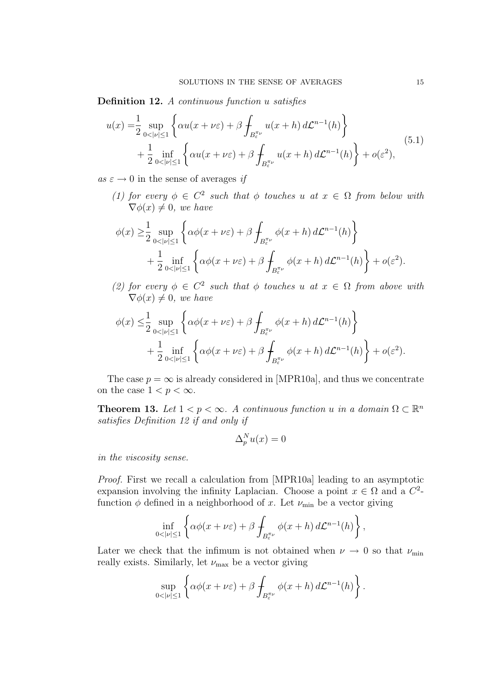Definition 12. A continuous function u satisfies

$$
u(x) = \frac{1}{2} \sup_{0 < |v| \le 1} \left\{ \alpha u(x + \nu \varepsilon) + \beta \int_{B_{\varepsilon}^{\pi \nu}} u(x + h) \, d\mathcal{L}^{n-1}(h) \right\} + \frac{1}{2} \inf_{0 < |v| \le 1} \left\{ \alpha u(x + \nu \varepsilon) + \beta \int_{B_{\varepsilon}^{\pi \nu}} u(x + h) \, d\mathcal{L}^{n-1}(h) \right\} + o(\varepsilon^2), \tag{5.1}
$$

as  $\varepsilon \to 0$  in the sense of averages if

(1) for every  $\phi \in C^2$  such that  $\phi$  touches u at  $x \in \Omega$  from below with  $\nabla \phi(x) \neq 0$ , we have

$$
\phi(x) \geq \frac{1}{2} \sup_{0 < |v| \leq 1} \left\{ \alpha \phi(x + \nu \varepsilon) + \beta \int_{B_{\varepsilon}^{\pi \nu}} \phi(x + h) \, d\mathcal{L}^{n-1}(h) \right\} + \frac{1}{2} \inf_{0 < |v| \leq 1} \left\{ \alpha \phi(x + \nu \varepsilon) + \beta \int_{B_{\varepsilon}^{\pi \nu}} \phi(x + h) \, d\mathcal{L}^{n-1}(h) \right\} + o(\varepsilon^2).
$$

(2) for every  $\phi \in C^2$  such that  $\phi$  touches u at  $x \in \Omega$  from above with  $\nabla \phi(x) \neq 0$ , we have

$$
\phi(x) \leq \frac{1}{2} \sup_{0 < |v| \leq 1} \left\{ \alpha \phi(x + \nu \varepsilon) + \beta \int_{B_{\varepsilon}^{\pi \nu}} \phi(x + h) \, d\mathcal{L}^{n-1}(h) \right\} + \frac{1}{2} \inf_{0 < |v| \leq 1} \left\{ \alpha \phi(x + \nu \varepsilon) + \beta \int_{B_{\varepsilon}^{\pi \nu}} \phi(x + h) \, d\mathcal{L}^{n-1}(h) \right\} + o(\varepsilon^2).
$$

The case  $p = \infty$  is already considered in [MPR10a], and thus we concentrate on the case  $1 < p < \infty$ .

**Theorem 13.** Let  $1 < p < \infty$ . A continuous function u in a domain  $\Omega \subset \mathbb{R}^n$ satisfies Definition 12 if and only if

$$
\Delta_p^N u(x) = 0
$$

in the viscosity sense.

Proof. First we recall a calculation from [MPR10a] leading to an asymptotic expansion involving the infinity Laplacian. Choose a point  $x \in \Omega$  and a  $C^2$ function  $\phi$  defined in a neighborhood of x. Let  $\nu_{\min}$  be a vector giving

$$
\inf_{0<|\nu|\leq 1}\left\{\alpha\phi(x+\nu\varepsilon)+\beta\int_{B_{\varepsilon}^{\pi\nu}}\phi(x+h)\,d\mathcal{L}^{n-1}(h)\right\},\,
$$

Later we check that the infimum is not obtained when  $\nu \rightarrow 0$  so that  $\nu_{\min}$ really exists. Similarly, let  $\nu_{\text{max}}$  be a vector giving

$$
\sup_{0<|\nu|\leq 1}\left\{\alpha\phi(x+\nu\varepsilon)+\beta\int_{B_{\varepsilon}^{\pi\nu}}\phi(x+h)\,d\mathcal{L}^{n-1}(h)\right\}.
$$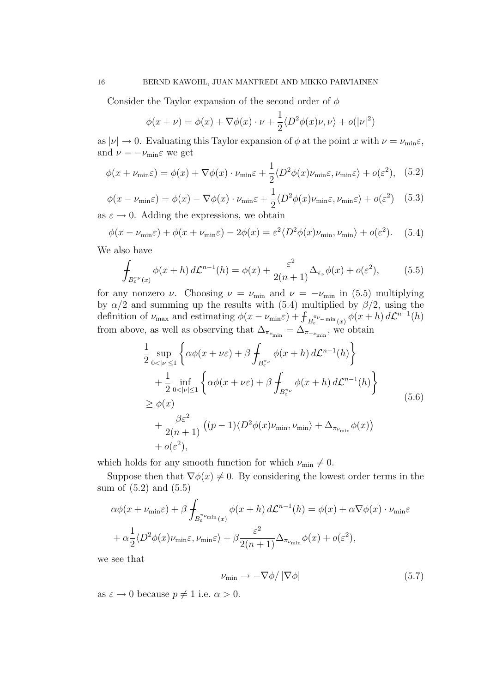Consider the Taylor expansion of the second order of  $\phi$ 

$$
\phi(x+\nu) = \phi(x) + \nabla\phi(x)\cdot\nu + \frac{1}{2}\langle D^2\phi(x)\nu,\nu\rangle + o(|\nu|^2)
$$

as  $|\nu| \to 0$ . Evaluating this Taylor expansion of  $\phi$  at the point x with  $\nu = \nu_{\min} \varepsilon$ , and  $\nu = -\nu_{\min} \varepsilon$  we get

$$
\phi(x + \nu_{\min}\varepsilon) = \phi(x) + \nabla\phi(x) \cdot \nu_{\min}\varepsilon + \frac{1}{2} \langle D^2 \phi(x) \nu_{\min}\varepsilon, \nu_{\min}\varepsilon \rangle + o(\varepsilon^2), \quad (5.2)
$$

$$
\phi(x - \nu_{\min}\varepsilon) = \phi(x) - \nabla\phi(x) \cdot \nu_{\min}\varepsilon + \frac{1}{2} \langle D^2 \phi(x) \nu_{\min}\varepsilon, \nu_{\min}\varepsilon \rangle + o(\varepsilon^2) \quad (5.3)
$$

as  $\varepsilon \to 0$ . Adding the expressions, we obtain

$$
\phi(x - \nu_{\min}\varepsilon) + \phi(x + \nu_{\min}\varepsilon) - 2\phi(x) = \varepsilon^2 \langle D^2 \phi(x)\nu_{\min}, \nu_{\min} \rangle + o(\varepsilon^2). \tag{5.4}
$$

We also have

$$
\int_{B_{\varepsilon}^{\pi_{\nu}}(x)} \phi(x+h) d\mathcal{L}^{n-1}(h) = \phi(x) + \frac{\varepsilon^2}{2(n+1)} \Delta_{\pi_{\nu}} \phi(x) + o(\varepsilon^2), \tag{5.5}
$$

for any nonzero  $\nu$ . Choosing  $\nu = \nu_{\min}$  and  $\nu = -\nu_{\min}$  in (5.5) multiplying by  $\alpha/2$  and summing up the results with (5.4) multiplied by  $\beta/2$ , using the definition of  $\nu_{\max}$  and estimating  $\phi(x - \nu_{\min} \varepsilon) + \int_{B_{\varepsilon}}^{\pi \nu_{-\min}} f(x + h) d\mathcal{L}^{n-1}(h)$ from above, as well as observing that  $\Delta_{\pi_{\nu_{\min}}} = \Delta_{\pi_{-\nu_{\min}}}$ , we obtain

$$
\frac{1}{2} \sup_{0 < |v| \le 1} \left\{ \alpha \phi(x + \nu \varepsilon) + \beta \int_{B_{\varepsilon}^{\pi \nu}} \phi(x + h) d\mathcal{L}^{n-1}(h) \right\} \n+ \frac{1}{2} \inf_{0 < |v| \le 1} \left\{ \alpha \phi(x + \nu \varepsilon) + \beta \int_{B_{\varepsilon}^{\pi \nu}} \phi(x + h) d\mathcal{L}^{n-1}(h) \right\} \n\ge \phi(x) \n+ \frac{\beta \varepsilon^2}{2(n+1)} \left( (p-1) \langle D^2 \phi(x) \nu_{\min}, \nu_{\min} \rangle + \Delta_{\pi_{\nu_{\min}}} \phi(x) \right) \n+ o(\varepsilon^2),
$$
\n(5.6)

which holds for any smooth function for which  $\nu_{\min} \neq 0$ .

Suppose then that  $\nabla \phi(x) \neq 0$ . By considering the lowest order terms in the sum of (5.2) and (5.5)

$$
\alpha \phi(x + \nu_{\min} \varepsilon) + \beta \int_{B_{\varepsilon}^{\pi \nu_{\min}}(x)} \phi(x + h) d\mathcal{L}^{n-1}(h) = \phi(x) + \alpha \nabla \phi(x) \cdot \nu_{\min} \varepsilon + \alpha \frac{1}{2} \langle D^2 \phi(x) \nu_{\min} \varepsilon, \nu_{\min} \varepsilon \rangle + \beta \frac{\varepsilon^2}{2(n+1)} \Delta_{\pi_{\nu_{\min}}} \phi(x) + o(\varepsilon^2),
$$

we see that

$$
\nu_{\min} \to -\nabla \phi / |\nabla \phi| \tag{5.7}
$$

as  $\varepsilon \to 0$  because  $p \neq 1$  i.e.  $\alpha > 0$ .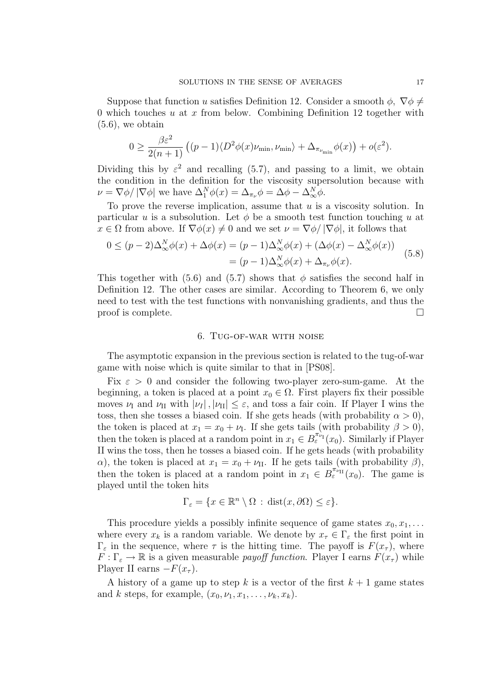Suppose that function u satisfies Definition 12. Consider a smooth  $\phi$ ,  $\nabla \phi \neq$ 0 which touches u at x from below. Combining Definition 12 together with  $(5.6)$ , we obtain

$$
0 \geq \frac{\beta \varepsilon^2}{2(n+1)} \left( (p-1) \langle D^2 \phi(x) \nu_{\min}, \nu_{\min} \rangle + \Delta_{\pi_{\nu_{\min}}} \phi(x) \right) + o(\varepsilon^2).
$$

Dividing this by  $\varepsilon^2$  and recalling (5.7), and passing to a limit, we obtain the condition in the definition for the viscosity supersolution because with  $\nu = \nabla \phi / |\nabla \phi|$  we have  $\Delta_1^N \phi(x) = \Delta_{\pi_\nu} \phi = \Delta \phi - \Delta_\infty^N \phi$ .

To prove the reverse implication, assume that  $u$  is a viscosity solution. In particular u is a subsolution. Let  $\phi$  be a smooth test function touching u at  $x \in \Omega$  from above. If  $\nabla \phi(x) \neq 0$  and we set  $\nu = \nabla \phi / |\nabla \phi|$ , it follows that

$$
0 \le (p-2)\Delta_{\infty}^{N}\phi(x) + \Delta\phi(x) = (p-1)\Delta_{\infty}^{N}\phi(x) + (\Delta\phi(x) - \Delta_{\infty}^{N}\phi(x))
$$
  
=  $(p-1)\Delta_{\infty}^{N}\phi(x) + \Delta_{\pi_{\nu}}\phi(x).$  (5.8)

This together with (5.6) and (5.7) shows that  $\phi$  satisfies the second half in Definition 12. The other cases are similar. According to Theorem 6, we only need to test with the test functions with nonvanishing gradients, and thus the proof is complete.  $\Box$ 

#### 6. Tug-of-war with noise

The asymptotic expansion in the previous section is related to the tug-of-war game with noise which is quite similar to that in [PS08].

Fix  $\varepsilon > 0$  and consider the following two-player zero-sum-game. At the beginning, a token is placed at a point  $x_0 \in \Omega$ . First players fix their possible moves  $\nu_I$  and  $\nu_{II}$  with  $|\nu_I|, |\nu_{II}| \leq \varepsilon$ , and toss a fair coin. If Player I wins the toss, then she tosses a biased coin. If she gets heads (with probability  $\alpha > 0$ ), the token is placed at  $x_1 = x_0 + \nu_I$ . If she gets tails (with probability  $\beta > 0$ ), then the token is placed at a random point in  $x_1 \in B^{\pi_{\nu_1}}_{\varepsilon}(x_0)$ . Similarly if Player II wins the toss, then he tosses a biased coin. If he gets heads (with probability α), the token is placed at  $x_1 = x_0 + \nu_{\text{II}}$ . If he gets tails (with probability β), then the token is placed at a random point in  $x_1 \in B_{\varepsilon}^{\pi_{\nu_{\text{II}}}}(x_0)$ . The game is played until the token hits

$$
\Gamma_{\varepsilon} = \{ x \in \mathbb{R}^n \setminus \Omega : \text{dist}(x, \partial \Omega) \le \varepsilon \}.
$$

This procedure yields a possibly infinite sequence of game states  $x_0, x_1, \ldots$ where every  $x_k$  is a random variable. We denote by  $x_\tau \in \Gamma_\varepsilon$  the first point in  $\Gamma_{\varepsilon}$  in the sequence, where  $\tau$  is the hitting time. The payoff is  $F(x_{\tau})$ , where  $F: \Gamma_{\varepsilon} \to \mathbb{R}$  is a given measurable *payoff function*. Player I earns  $F(x_{\tau})$  while Player II earns  $-F(x_\tau)$ .

A history of a game up to step k is a vector of the first  $k + 1$  game states and k steps, for example,  $(x_0, \nu_1, x_1, \ldots, \nu_k, x_k)$ .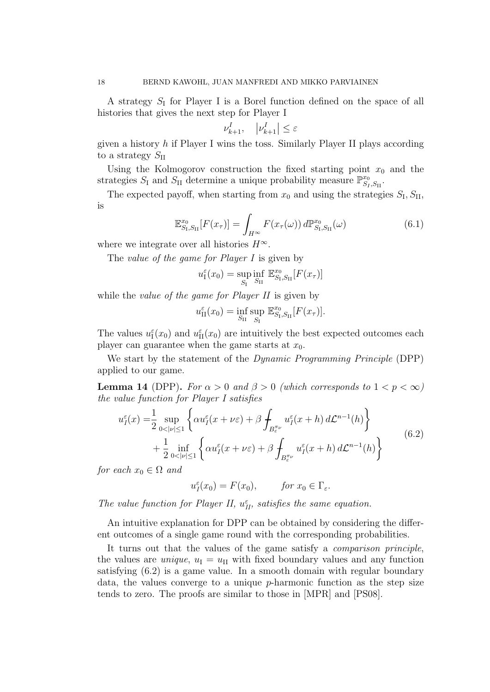A strategy  $S_I$  for Player I is a Borel function defined on the space of all histories that gives the next step for Player I

$$
\nu_{k+1}^I, \quad |\nu_{k+1}^I| \le \varepsilon
$$

given a history  $h$  if Player I wins the toss. Similarly Player II plays according to a strategy  $S_{\text{II}}$ 

Using the Kolmogorov construction the fixed starting point  $x_0$  and the strategies  $S_I$  and  $S_{II}$  determine a unique probability measure  $\mathbb{P}_{S_I}^{x_0}$  ${}^{\alpha_0}_{S_I,S_\mathrm{II}}\cdot$ 

The expected payoff, when starting from  $x_0$  and using the strategies  $S_I, S_{II},$ is

$$
\mathbb{E}_{S_{\mathrm{I}},S_{\mathrm{II}}}^{x_{0}}[F(x_{\tau})] = \int_{H^{\infty}} F(x_{\tau}(\omega)) d\mathbb{P}_{S_{\mathrm{I}},S_{\mathrm{II}}}^{x_{0}}(\omega)
$$
(6.1)

where we integrate over all histories  $H^{\infty}$ .

The value of the game for Player I is given by

$$
u_{\rm I}^\varepsilon(x_0)=\sup_{S_{\rm I}}\inf_{S_{\rm II}}\, \mathbb{E}_{S_{\rm I},S_{\rm II}}^{x_0}[F(x_\tau)]
$$

while the *value of the game for Player II* is given by

$$
u_{\text{II}}^{\varepsilon}(x_0)=\inf_{S_{\text{II}}} \sup_{S_{\text{I}}} \mathbb{E}_{S_{\text{I}},S_{\text{II}}}^{x_0}[F(x_{\tau})].
$$

The values  $u_{\text{I}}^{\varepsilon}(x_0)$  and  $u_{\text{II}}^{\varepsilon}(x_0)$  are intuitively the best expected outcomes each player can guarantee when the game starts at  $x_0$ .

We start by the statement of the *Dynamic Programming Principle* (DPP) applied to our game.

**Lemma 14** (DPP). For  $\alpha > 0$  and  $\beta > 0$  (which corresponds to  $1 < p < \infty$ ) the value function for Player I satisfies

$$
u_I^{\varepsilon}(x) = \frac{1}{2} \sup_{0 < |v| \le 1} \left\{ \alpha u_I^{\varepsilon}(x + \nu \varepsilon) + \beta \int_{B_{\varepsilon}^{\pi \nu}} u_I^{\varepsilon}(x + h) \, d\mathcal{L}^{n-1}(h) \right\} + \frac{1}{2} \inf_{0 < |v| \le 1} \left\{ \alpha u_I^{\varepsilon}(x + \nu \varepsilon) + \beta \int_{B_{\varepsilon}^{\pi \nu}} u_I^{\varepsilon}(x + h) \, d\mathcal{L}^{n-1}(h) \right\} \tag{6.2}
$$

for each  $x_0 \in \Omega$  and

$$
u_I^{\varepsilon}(x_0) = F(x_0), \qquad \text{for } x_0 \in \Gamma_{\varepsilon}.
$$

The value function for Player II,  $u_{II}^{\varepsilon}$ , satisfies the same equation.

An intuitive explanation for DPP can be obtained by considering the different outcomes of a single game round with the corresponding probabilities.

It turns out that the values of the game satisfy a *comparison principle*, the values are *unique*,  $u_{\text{I}} = u_{\text{II}}$  with fixed boundary values and any function satisfying (6.2) is a game value. In a smooth domain with regular boundary data, the values converge to a unique  $p$ -harmonic function as the step size tends to zero. The proofs are similar to those in [MPR] and [PS08].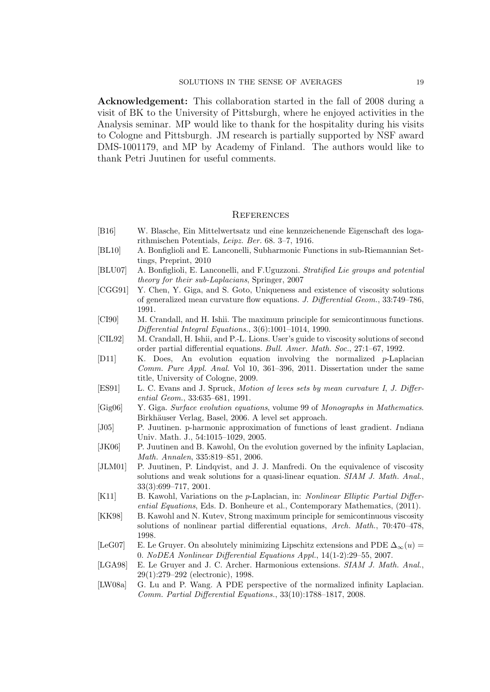Acknowledgement: This collaboration started in the fall of 2008 during a visit of BK to the University of Pittsburgh, where he enjoyed activities in the Analysis seminar. MP would like to thank for the hospitality during his visits to Cologne and Pittsburgh. JM research is partially supported by NSF award DMS-1001179, and MP by Academy of Finland. The authors would like to thank Petri Juutinen for useful comments.

#### **REFERENCES**

- [B16] W. Blasche, Ein Mittelwertsatz und eine kennzeichenende Eigenschaft des logarithmischen Potentials, Leipz. Ber. 68. 3–7, 1916.
- [BL10] A. Bonfiglioli and E. Lanconelli, Subharmonic Functions in sub-Riemannian Settings, Preprint, 2010
- [BLU07] A. Bonfiglioli, E. Lanconelli, and F.Uguzzoni. Stratified Lie groups and potential theory for their sub-Laplacians, Springer, 2007
- [CGG91] Y. Chen, Y. Giga, and S. Goto, Uniqueness and existence of viscosity solutions of generalized mean curvature flow equations. J. Differential Geom., 33:749–786, 1991.
- [CI90] M. Crandall, and H. Ishii. The maximum principle for semicontinuous functions. Differential Integral Equations., 3(6):1001–1014, 1990.
- [CIL92] M. Crandall, H. Ishii, and P.-L. Lions. User's guide to viscosity solutions of second order partial differential equations. Bull. Amer. Math. Soc., 27:1–67, 1992.
- [D11] K. Does, An evolution equation involving the normalized p-Laplacian Comm. Pure Appl. Anal. Vol 10, 361–396, 2011. Dissertation under the same title, University of Cologne, 2009.
- [ES91] L. C. Evans and J. Spruck, Motion of leves sets by mean curvature I, J. Differential Geom., 33:635–681, 1991.
- [Gig06] Y. Giga. Surface evolution equations, volume 99 of Monographs in Mathematics. Birkhäuser Verlag, Basel, 2006. A level set approach.
- [J05] P. Juutinen. p-harmonic approximation of functions of least gradient. I ndiana Univ. Math. J., 54:1015–1029, 2005.
- [JK06] P. Juutinen and B. Kawohl, On the evolution governed by the infinity Laplacian, Math. Annalen, 335:819–851, 2006.
- [JLM01] P. Juutinen, P. Lindqvist, and J. J. Manfredi. On the equivalence of viscosity solutions and weak solutions for a quasi-linear equation. SIAM J. Math. Anal., 33(3):699–717, 2001.
- [K11] B. Kawohl, Variations on the p-Laplacian, in: Nonlinear Elliptic Partial Differential Equations, Eds. D. Bonheure et al., Contemporary Mathematics, (2011).
- [KK98] B. Kawohl and N. Kutev, Strong maximum principle for semicontinuous viscosity solutions of nonlinear partial differential equations, Arch. Math., 70:470–478, 1998.
- [LeG07] E. Le Gruyer. On absolutely minimizing Lipschitz extensions and PDE  $\Delta_{\infty}(u)$  = 0. NoDEA Nonlinear Differential Equations Appl., 14(1-2):29–55, 2007.
- [LGA98] E. Le Gruyer and J. C. Archer. Harmonious extensions. SIAM J. Math. Anal., 29(1):279–292 (electronic), 1998.
- [LW08a] G. Lu and P. Wang. A PDE perspective of the normalized infinity Laplacian. Comm. Partial Differential Equations., 33(10):1788–1817, 2008.